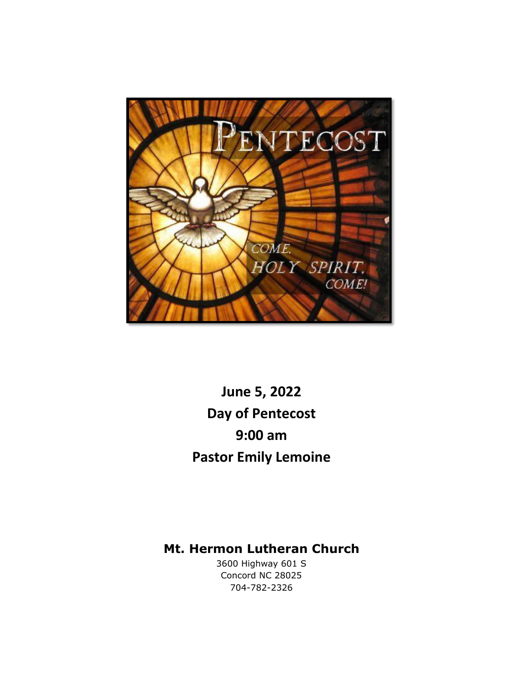

**June 5, 2022 Day of Pentecost 9:00 am Pastor Emily Lemoine**

**Mt. Hermon Lutheran Church**

3600 Highway 601 S Concord NC 28025 704-782-2326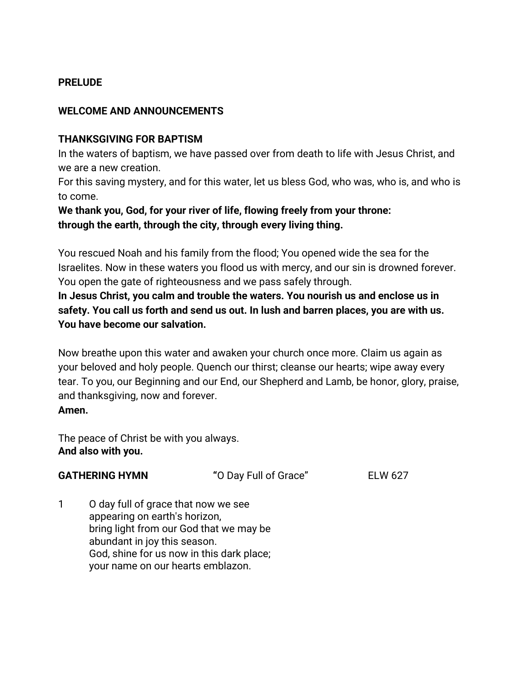### **PRELUDE**

# **WELCOME AND ANNOUNCEMENTS**

### **THANKSGIVING FOR BAPTISM**

In the waters of baptism, we have passed over from death to life with Jesus Christ, and we are a new creation.

For this saving mystery, and for this water, let us bless God, who was, who is, and who is to come.

# **We thank you, God, for your river of life, flowing freely from your throne: through the earth, through the city, through every living thing.**

You rescued Noah and his family from the flood; You opened wide the sea for the Israelites. Now in these waters you flood us with mercy, and our sin is drowned forever. You open the gate of righteousness and we pass safely through.

**In Jesus Christ, you calm and trouble the waters. You nourish us and enclose us in safety. You call us forth and send us out. In lush and barren places, you are with us. You have become our salvation.**

Now breathe upon this water and awaken your church once more. Claim us again as your beloved and holy people. Quench our thirst; cleanse our hearts; wipe away every tear. To you, our Beginning and our End, our Shepherd and Lamb, be honor, glory, praise, and thanksgiving, now and forever. **Amen.**

The peace of Christ be with you always. **And also with you.** 

**GATHERING HYMN "**O Day Full of Grace" ELW 627

1 O day full of grace that now we see appearing on earth's horizon, bring light from our God that we may be abundant in joy this season. God, shine for us now in this dark place; your name on our hearts emblazon.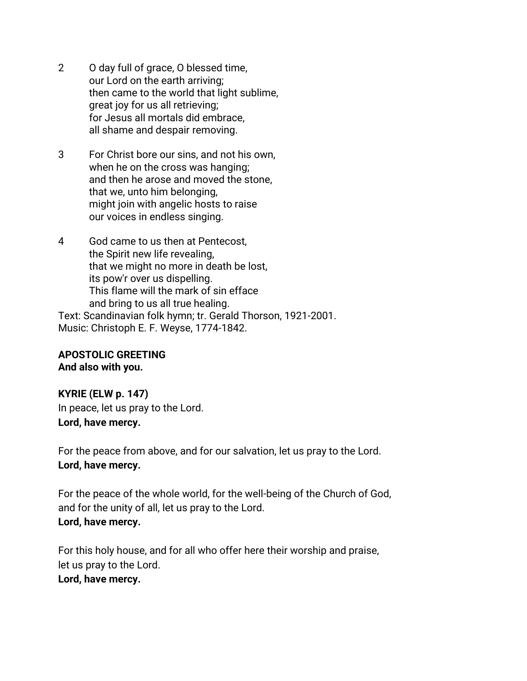- 2 O day full of grace, O blessed time, our Lord on the earth arriving; then came to the world that light sublime, great joy for us all retrieving; for Jesus all mortals did embrace, all shame and despair removing.
- 3 For Christ bore our sins, and not his own, when he on the cross was hanging; and then he arose and moved the stone, that we, unto him belonging, might join with angelic hosts to raise our voices in endless singing.
- 4 God came to us then at Pentecost, the Spirit new life revealing, that we might no more in death be lost, its pow'r over us dispelling. This flame will the mark of sin efface and bring to us all true healing. Text: Scandinavian folk hymn; tr. Gerald Thorson, 1921-2001.

Music: Christoph E. F. Weyse, 1774-1842.

### **APOSTOLIC GREETING And also with you.**

# **KYRIE (ELW p. 147)**

In peace, let us pray to the Lord. **Lord, have mercy.**

For the peace from above, and for our salvation, let us pray to the Lord. **Lord, have mercy.**

For the peace of the whole world, for the well-being of the Church of God, and for the unity of all, let us pray to the Lord. **Lord, have mercy.**

For this holy house, and for all who offer here their worship and praise, let us pray to the Lord. **Lord, have mercy.**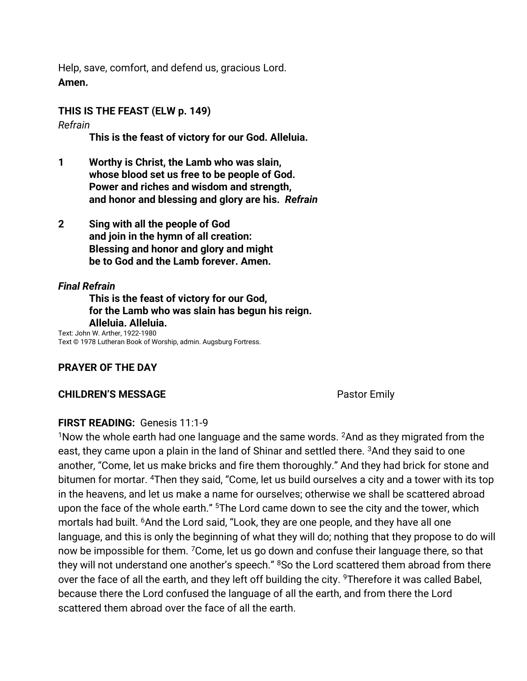Help, save, comfort, and defend us, gracious Lord. **Amen.**

### **THIS IS THE FEAST (ELW p. 149)**

*Refrain*

**This is the feast of victory for our God. Alleluia.**

- **1 Worthy is Christ, the Lamb who was slain, whose blood set us free to be people of God. Power and riches and wisdom and strength, and honor and blessing and glory are his.** *Refrain*
- **2 Sing with all the people of God and join in the hymn of all creation: Blessing and honor and glory and might be to God and the Lamb forever. Amen.**

#### *Final Refrain*

**This is the feast of victory for our God, for the Lamb who was slain has begun his reign. Alleluia. Alleluia.**  Text: John W. Arther, 1922-1980

Text © 1978 Lutheran Book of Worship, admin. Augsburg Fortress.

# **PRAYER OF THE DAY**

**CHILDREN'S MESSAGE Pastor Emily** 

### **FIRST READING:** Genesis 11:1-9

 $1$ Now the whole earth had one language and the same words.  $2$ And as they migrated from the east, they came upon a plain in the land of Shinar and settled there. <sup>3</sup>And they said to one another, "Come, let us make bricks and fire them thoroughly." And they had brick for stone and bitumen for mortar. <sup>4</sup>Then they said, "Come, let us build ourselves a city and a tower with its top in the heavens, and let us make a name for ourselves; otherwise we shall be scattered abroad upon the face of the whole earth." <sup>5</sup>The Lord came down to see the city and the tower, which mortals had built. <sup>6</sup>And the Lord said, "Look, they are one people, and they have all one language, and this is only the beginning of what they will do; nothing that they propose to do will now be impossible for them. <sup>7</sup>Come, let us go down and confuse their language there, so that they will not understand one another's speech." <sup>8</sup>So the Lord scattered them abroad from there over the face of all the earth, and they left off building the city. <sup>9</sup>Therefore it was called Babel, because there the Lord confused the language of all the earth, and from there the Lord scattered them abroad over the face of all the earth.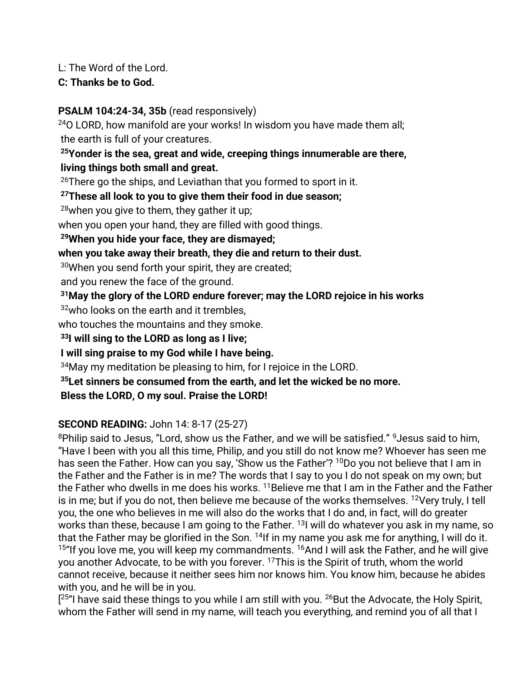# L: The Word of the Lord.

# **C: Thanks be to God.**

# **PSALM 104:24-34, 35b** (read responsively)

<sup>24</sup>O LORD, how manifold are your works! In wisdom you have made them all; the earth is full of your creatures.

# **<sup>25</sup>Yonder is the sea, great and wide, creeping things innumerable are there, living things both small and great.**

 $26$ There go the ships, and Leviathan that you formed to sport in it.

**<sup>27</sup>These all look to you to give them their food in due season;**

 $28$ when you give to them, they gather it up;

when you open your hand, they are filled with good things.

# **<sup>29</sup>When you hide your face, they are dismayed;**

**when you take away their breath, they die and return to their dust.**

<sup>30</sup>When you send forth your spirit, they are created;

and you renew the face of the ground.

**<sup>31</sup>May the glory of the LORD endure forever; may the LORD rejoice in his works**

 $32$ who looks on the earth and it trembles,

who touches the mountains and they smoke.

**<sup>33</sup>I will sing to the LORD as long as I live;**

**I will sing praise to my God while I have being.**

 $34$ May my meditation be pleasing to him, for I rejoice in the LORD.

# **<sup>35</sup>Let sinners be consumed from the earth, and let the wicked be no more.**

# **Bless the LORD, O my soul. Praise the LORD!**

# **SECOND READING:** John 14: 8-17 (25-27)

<sup>8</sup>Philip said to Jesus, "Lord, show us the Father, and we will be satisfied." <sup>9</sup> Jesus said to him, "Have I been with you all this time, Philip, and you still do not know me? Whoever has seen me has seen the Father. How can you say, 'Show us the Father'? <sup>10</sup>Do you not believe that I am in the Father and the Father is in me? The words that I say to you I do not speak on my own; but the Father who dwells in me does his works. <sup>11</sup>Believe me that I am in the Father and the Father is in me; but if you do not, then believe me because of the works themselves. <sup>12</sup>Very truly, I tell you, the one who believes in me will also do the works that I do and, in fact, will do greater works than these, because I am going to the Father.  $^{13}$ I will do whatever you ask in my name, so that the Father may be glorified in the Son. <sup>14</sup>If in my name you ask me for anything, I will do it.  $15$ "If you love me, you will keep my commandments.  $16$ And I will ask the Father, and he will give you another Advocate, to be with you forever. <sup>17</sup>This is the Spirit of truth, whom the world cannot receive, because it neither sees him nor knows him. You know him, because he abides with you, and he will be in you.

[<sup>25</sup>"I have said these things to you while I am still with you. <sup>26</sup>But the Advocate, the Holy Spirit, whom the Father will send in my name, will teach you everything, and remind you of all that I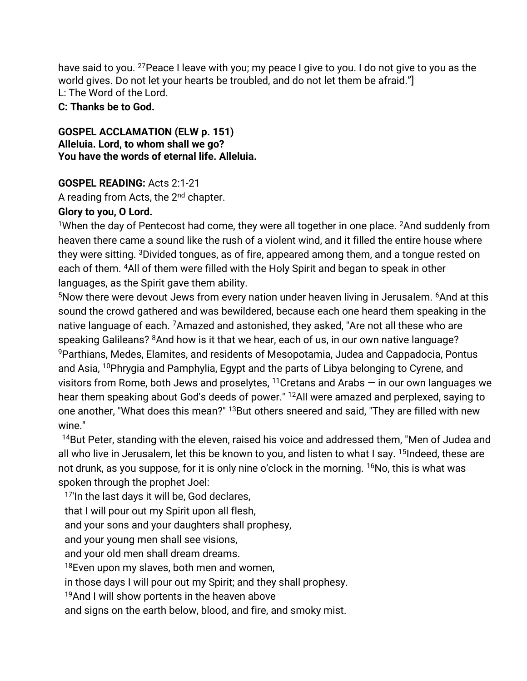have said to you. <sup>27</sup> Peace I leave with you; my peace I give to you. I do not give to you as the world gives. Do not let your hearts be troubled, and do not let them be afraid."] L: The Word of the Lord.

#### **C: Thanks be to God.**

**GOSPEL ACCLAMATION (ELW p. 151) Alleluia. Lord, to whom shall we go? You have the words of eternal life. Alleluia.** 

#### **GOSPEL READING:** Acts 2:1-21

A reading from Acts, the  $2^{nd}$  chapter.

#### **Glory to you, O Lord.**

<sup>1</sup>When the day of Pentecost had come, they were all together in one place. <sup>2</sup>And suddenly from heaven there came a sound like the rush of a violent wind, and it filled the entire house where they were sitting. <sup>3</sup>Divided tongues, as of fire, appeared among them, and a tongue rested on each of them. <sup>4</sup>All of them were filled with the Holy Spirit and began to speak in other languages, as the Spirit gave them ability.

<sup>5</sup>Now there were devout Jews from every nation under heaven living in Jerusalem. <sup>6</sup>And at this sound the crowd gathered and was bewildered, because each one heard them speaking in the native language of each. <sup>7</sup>Amazed and astonished, they asked, "Are not all these who are speaking Galileans? <sup>8</sup>And how is it that we hear, each of us, in our own native language? <sup>9</sup>Parthians, Medes, Elamites, and residents of Mesopotamia, Judea and Cappadocia, Pontus and Asia, <sup>10</sup>Phrygia and Pamphylia, Egypt and the parts of Libya belonging to Cyrene, and visitors from Rome, both Jews and proselytes,  $11$ Cretans and Arabs  $-$  in our own languages we hear them speaking about God's deeds of power." <sup>12</sup>All were amazed and perplexed, saying to one another, "What does this mean?" <sup>13</sup>But others sneered and said, "They are filled with new wine."

<sup>14</sup>But Peter, standing with the eleven, raised his voice and addressed them, "Men of Judea and all who live in Jerusalem, let this be known to you, and listen to what I say. <sup>15</sup>Indeed, these are not drunk, as you suppose, for it is only nine o'clock in the morning. <sup>16</sup>No, this is what was spoken through the prophet Joel:

<sup>17'</sup>In the last days it will be, God declares, that I will pour out my Spirit upon all flesh, and your sons and your daughters shall prophesy, and your young men shall see visions, and your old men shall dream dreams.  $18$  Even upon my slaves, both men and women, in those days I will pour out my Spirit; and they shall prophesy. <sup>19</sup>And I will show portents in the heaven above and signs on the earth below, blood, and fire, and smoky mist.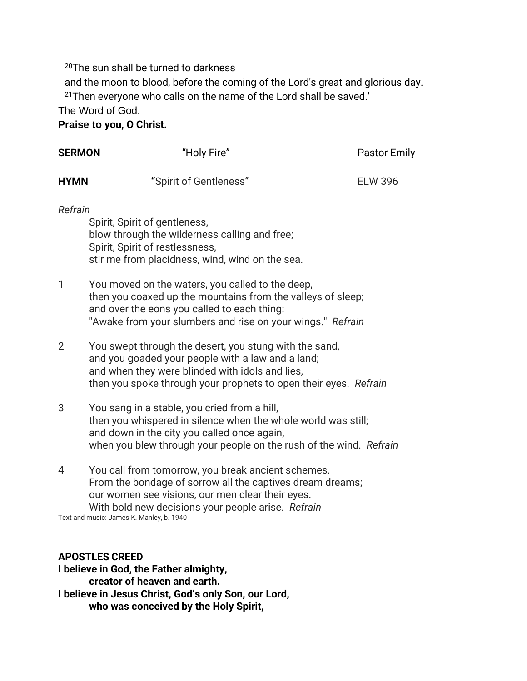20The sun shall be turned to darkness

and the moon to blood, before the coming of the Lord's great and glorious day.  $21$ Then everyone who calls on the name of the Lord shall be saved.'

The Word of God.

### **Praise to you, O Christ.**

| <b>SERMON</b> | "Holy Fire"                                                                                                                                                                                                                  | <b>Pastor Emily</b> |
|---------------|------------------------------------------------------------------------------------------------------------------------------------------------------------------------------------------------------------------------------|---------------------|
| <b>HYMN</b>   | "Spirit of Gentleness"                                                                                                                                                                                                       | <b>ELW 396</b>      |
| Refrain       | Spirit, Spirit of gentleness,<br>blow through the wilderness calling and free;<br>Spirit, Spirit of restlessness,<br>stir me from placidness, wind, wind on the sea.                                                         |                     |
|               | You moved on the waters, you called to the deep,<br>then you coaxed up the mountains from the valleys of sleep;<br>and over the eons you called to each thing:<br>"Awake from your slumbers and rise on your wings." Refrain |                     |
|               | You swept through the desert, you stung with the sand,                                                                                                                                                                       |                     |

- and you goaded your people with a law and a land; and when they were blinded with idols and lies, then you spoke through your prophets to open their eyes. *Refrain*
- 3 You sang in a stable, you cried from a hill, then you whispered in silence when the whole world was still; and down in the city you called once again, when you blew through your people on the rush of the wind. *Refrain*
- 4 You call from tomorrow, you break ancient schemes. From the bondage of sorrow all the captives dream dreams; our women see visions, our men clear their eyes. With bold new decisions your people arise. *Refrain*

Text and music: James K. Manley, b. 1940

**APOSTLES CREED I believe in God, the Father almighty, creator of heaven and earth. I believe in Jesus Christ, God's only Son, our Lord, who was conceived by the Holy Spirit,**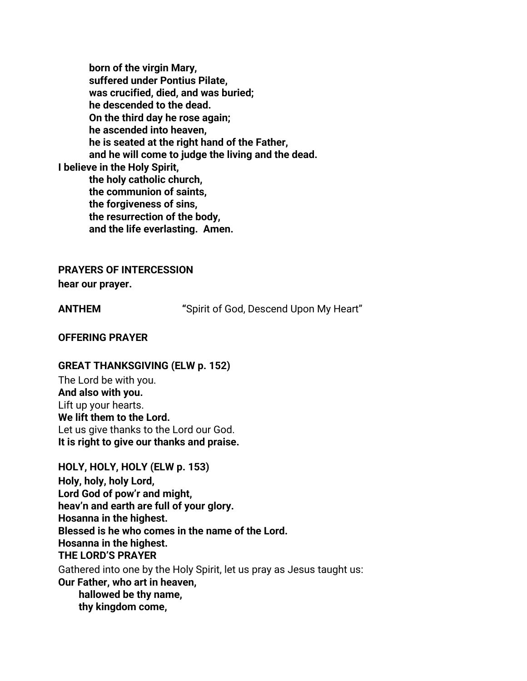**born of the virgin Mary, suffered under Pontius Pilate, was crucified, died, and was buried; he descended to the dead. On the third day he rose again; he ascended into heaven, he is seated at the right hand of the Father, and he will come to judge the living and the dead. I believe in the Holy Spirit, the holy catholic church, the communion of saints, the forgiveness of sins, the resurrection of the body, and the life everlasting. Amen.**

#### **PRAYERS OF INTERCESSION**

**hear our prayer.**

**ANTHEM "**Spirit of God, Descend Upon My Heart"

**OFFERING PRAYER**

#### **GREAT THANKSGIVING (ELW p. 152)**

The Lord be with you. **And also with you.** Lift up your hearts. **We lift them to the Lord.** Let us give thanks to the Lord our God. **It is right to give our thanks and praise.**

| HOLY, HOLY, HOLY (ELW p. 153)                                         |
|-----------------------------------------------------------------------|
| Holy, holy, holy Lord,                                                |
| Lord God of pow'r and might,                                          |
| heav'n and earth are full of your glory.                              |
| Hosanna in the highest.                                               |
| Blessed is he who comes in the name of the Lord.                      |
| Hosanna in the highest.                                               |
| <b>THE LORD'S PRAYER</b>                                              |
| Gathered into one by the Holy Spirit, let us pray as Jesus taught us: |
| Our Father, who art in heaven,                                        |
| hallowed be thy name,                                                 |
| thy kingdom come,                                                     |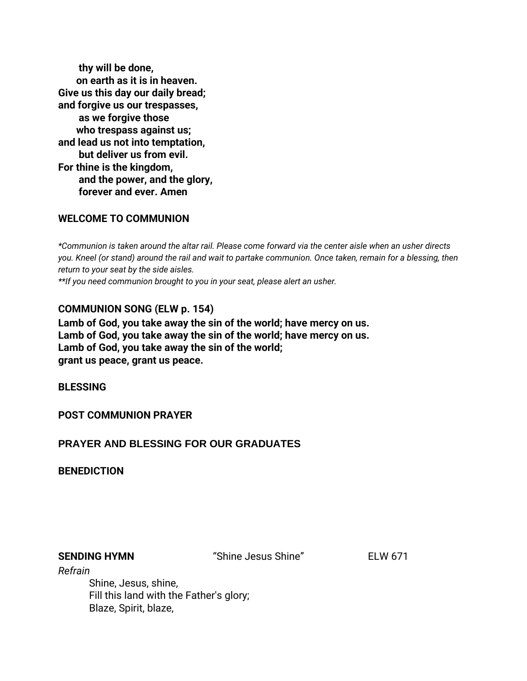**thy will be done, on earth as it is in heaven. Give us this day our daily bread; and forgive us our trespasses, as we forgive those who trespass against us; and lead us not into temptation, but deliver us from evil. For thine is the kingdom, and the power, and the glory, forever and ever. Amen**

#### **WELCOME TO COMMUNION**

*\*Communion is taken around the altar rail. Please come forward via the center aisle when an usher directs you. Kneel (or stand) around the rail and wait to partake communion. Once taken, remain for a blessing, then return to your seat by the side aisles.* 

*\*\*If you need communion brought to you in your seat, please alert an usher.*

#### **COMMUNION SONG (ELW p. 154)**

**Lamb of God, you take away the sin of the world; have mercy on us. Lamb of God, you take away the sin of the world; have mercy on us. Lamb of God, you take away the sin of the world; grant us peace, grant us peace.**

**BLESSING**

**POST COMMUNION PRAYER**

#### **PRAYER AND BLESSING FOR OUR GRADUATES**

**BENEDICTION**

**SENDING HYMN** "Shine Jesus Shine" ELW 671

*Refrain*

Shine, Jesus, shine, Fill this land with the Father's glory; Blaze, Spirit, blaze,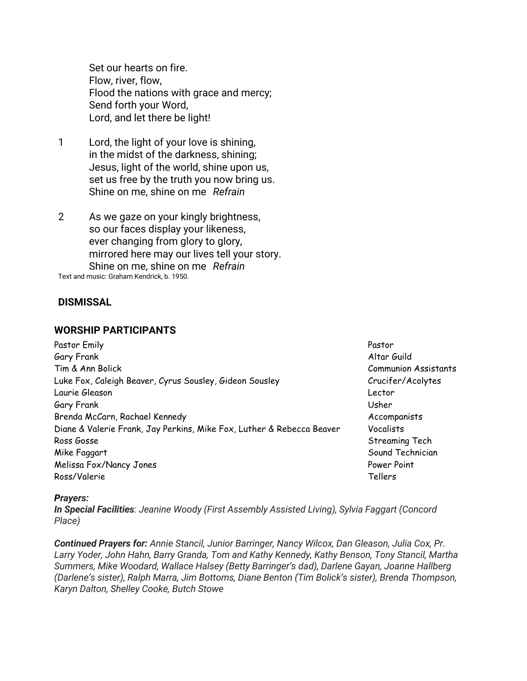Set our hearts on fire. Flow, river, flow, Flood the nations with grace and mercy; Send forth your Word, Lord, and let there be light!

- 1 Lord, the light of your love is shining, in the midst of the darkness, shining; Jesus, light of the world, shine upon us, set us free by the truth you now bring us. Shine on me, shine on me *Refrain*
- 2 As we gaze on your kingly brightness, so our faces display your likeness, ever changing from glory to glory, mirrored here may our lives tell your story. Shine on me, shine on me *Refrain*

Text and music: Graham Kendrick, b. 1950.

#### **DISMISSAL**

#### **WORSHIP PARTICIPANTS**

Pastor Emily Pastor Pastor Pastor Pastor Pastor Pastor Pastor Pastor Pastor Pastor Pastor Pastor Pastor Pastor Gary Frank Altar Guild Tim & Ann Bolick Communion Assistants Luke Fox, Caleigh Beaver, Cyrus Sousley, Gideon Sousley Crucifer/Acolytes Laurie Gleason Lector Gary Frank Usher Brenda McCarn, Rachael Kennedy Accompanists Accompanists Diane & Valerie Frank, Jay Perkins, Mike Fox, Luther & Rebecca Beaver Vocalists Ross Gosse Streaming Tech in the United Streaming Tech in the Streaming Tech in the Streaming Tech in the Streaming Tech Mike Faggart Sound Technician Melissa Fox/Nancy Jones Power Point Ross/Valerie Tellers in the United States of the United States of the Tellers of Tellers in the United States

#### *Prayers:*

*In Special Facilities: Jeanine Woody (First Assembly Assisted Living), Sylvia Faggart (Concord Place)*

*Continued Prayers for: Annie Stancil, Junior Barringer, Nancy Wilcox, Dan Gleason, Julia Cox, Pr. Larry Yoder, John Hahn, Barry Granda, Tom and Kathy Kennedy, Kathy Benson, Tony Stancil, Martha Summers, Mike Woodard, Wallace Halsey (Betty Barringer's dad), Darlene Gayan, Joanne Hallberg (Darlene's sister), Ralph Marra, Jim Bottoms, Diane Benton (Tim Bolick's sister), Brenda Thompson, Karyn Dalton, Shelley Cooke, Butch Stowe*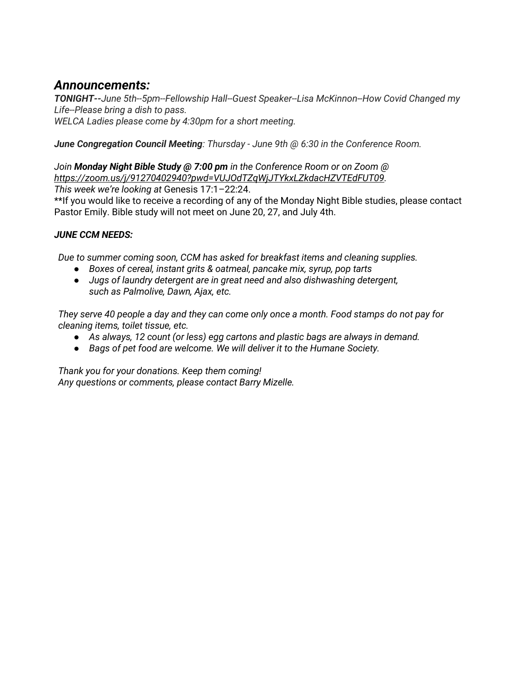# *Announcements:*

*TONIGHT--June 5th--5pm--Fellowship Hall--Guest Speaker--Lisa McKinnon--How Covid Changed my Life--Please bring a dish to pass. WELCA Ladies please come by 4:30pm for a short meeting.*

*June Congregation Council Meeting: Thursday - June 9th @ 6:30 in the Conference Room.* 

*Join Monday Night Bible Study @ 7:00 pm in the Conference Room or on Zoom @ [https://zoom.us/j/91270402940?pwd=VUJOdTZqWjJTYkxLZkdacHZVTEdFUT09.](https://zoom.us/j/91270402940?pwd=VUJOdTZqWjJTYkxLZkdacHZVTEdFUT09)* 

*This week we're looking at* Genesis 17:1–22:24.

\*\*If you would like to receive a recording of any of the Monday Night Bible studies, please contact Pastor Emily. Bible study will not meet on June 20, 27, and July 4th.

# *JUNE CCM NEEDS:*

*Due to summer coming soon, CCM has asked for breakfast items and cleaning supplies.*

- *Boxes of cereal, instant grits & oatmeal, pancake mix, syrup, pop tarts*
- *Jugs of laundry detergent are in great need and also dishwashing detergent, such as Palmolive, Dawn, Ajax, etc.*

*They serve 40 people a day and they can come only once a month. Food stamps do not pay for cleaning items, toilet tissue, etc.*

- *As always, 12 count (or less) egg cartons and plastic bags are always in demand.*
- *Bags of pet food are welcome. We will deliver it to the Humane Society.*

*Thank you for your donations. Keep them coming! Any questions or comments, please contact Barry Mizelle.*